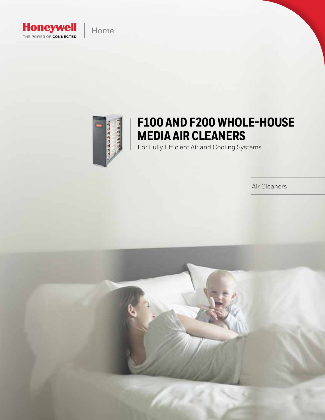



## **F100 AND F200 WHOLE-HOUSE MEDIA AIR CLEANERS**

For Fully Efficient Air and Cooling Systems

Air Cleaners